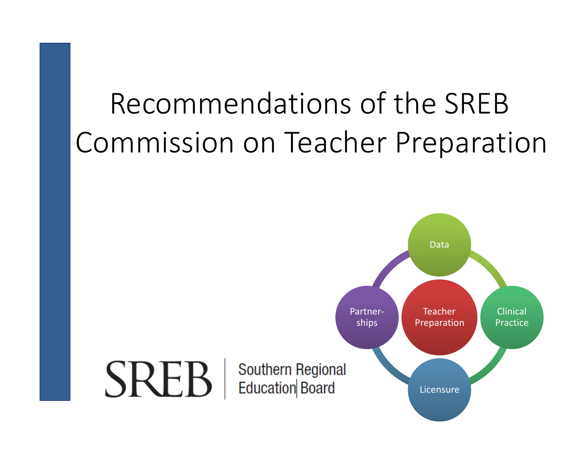## Recommendations of the SREB Commission on Teacher Preparation

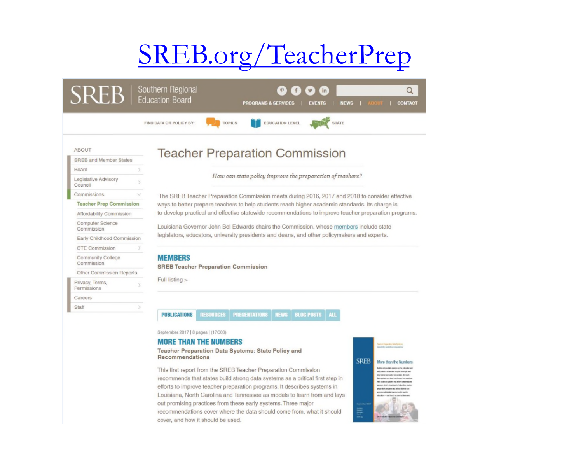#### SREB.org/TeacherPrep

| $\mathsf{KL}$                   |  | Southern Regional<br><b>Education Board</b>                                                           |                                                                                                 | <b>PROGRAMS &amp; SERVICES</b>                            |                        | in<br><b>EVENTS</b> | <b>NEWS</b>  |  | <b>CONTACT</b> |
|---------------------------------|--|-------------------------------------------------------------------------------------------------------|-------------------------------------------------------------------------------------------------|-----------------------------------------------------------|------------------------|---------------------|--------------|--|----------------|
|                                 |  | FIND DATA OR POLICY BY:                                                                               | <b>TOPICS</b>                                                                                   |                                                           | <b>EDUCATION LEVEL</b> |                     | <b>STATE</b> |  |                |
| <b>ABOUT</b>                    |  | <b>Teacher Preparation Commission</b>                                                                 |                                                                                                 |                                                           |                        |                     |              |  |                |
| <b>SREB and Member States</b>   |  |                                                                                                       |                                                                                                 |                                                           |                        |                     |              |  |                |
| Board                           |  |                                                                                                       |                                                                                                 |                                                           |                        |                     |              |  |                |
| Legislative Advisory<br>Council |  |                                                                                                       |                                                                                                 | How can state policy improve the preparation of teachers? |                        |                     |              |  |                |
| Commissions                     |  | The SREB Teacher Preparation Commission meets during 2016, 2017 and 2018 to consider effective        |                                                                                                 |                                                           |                        |                     |              |  |                |
| <b>Teacher Prep Commission</b>  |  |                                                                                                       | ways to better prepare teachers to help students reach higher academic standards. Its charge is |                                                           |                        |                     |              |  |                |
| Affordability Commission        |  | to develop practical and effective statewide recommendations to improve teacher preparation programs. |                                                                                                 |                                                           |                        |                     |              |  |                |
| Computer Science<br>Commission  |  |                                                                                                       | Louisiana Governor John Bel Edwards chairs the Commission, whose members include state          |                                                           |                        |                     |              |  |                |
| Early Childhood Commission      |  | legislators, educators, university presidents and deans, and other policymakers and experts.          |                                                                                                 |                                                           |                        |                     |              |  |                |
| CTE Commission                  |  |                                                                                                       |                                                                                                 |                                                           |                        |                     |              |  |                |
| Community College<br>Commission |  | <b>MEMBERS</b><br><b>SREB Teacher Preparation Commission</b>                                          |                                                                                                 |                                                           |                        |                     |              |  |                |
| Other Commission Reports        |  | Full listing >                                                                                        |                                                                                                 |                                                           |                        |                     |              |  |                |
| Privacy, Terms,<br>Permissions  |  |                                                                                                       |                                                                                                 |                                                           |                        |                     |              |  |                |
| Careers                         |  |                                                                                                       |                                                                                                 |                                                           |                        |                     |              |  |                |
| Staff                           |  |                                                                                                       |                                                                                                 |                                                           |                        |                     |              |  |                |

September 2017 | 8 pages | (17C03)

#### **MORE THAN THE NUMBERS**

Teacher Preparation Data Systems: State Policy and Recommendations

This first report from the SREB Teacher Preparation Commission recommends that states build strong data systems as a critical first step in efforts to improve teacher preparation programs. It describes systems in Louisiana, North Carolina and Tennessee as models to learn from and lays out promising practices from these early systems. Three major recommendations cover where the data should come from, what it should cover, and how it should be used.



 $\alpha$ CONTACT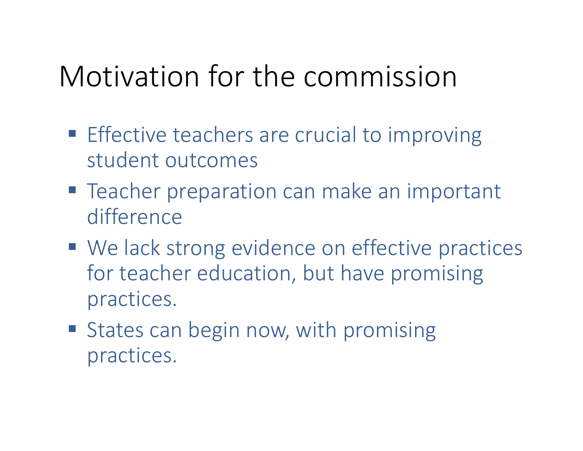## Motivation for the commission

- **Effective teachers are crucial to improving** student outcomes
- Teacher preparation can make an important difference
- We lack strong evidence on effective practices for teacher education, but have promising practices.
- States can begin now, with promising practices.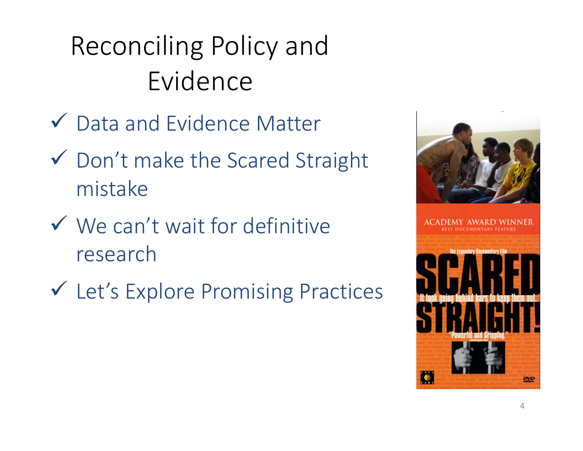Reconciling Policy and Evidence

- Data and Evidence Matter
- Don't make the Scared Straight mistake
- $\checkmark$  We can't wait for definitive research
- Let's Explore Promising Practices

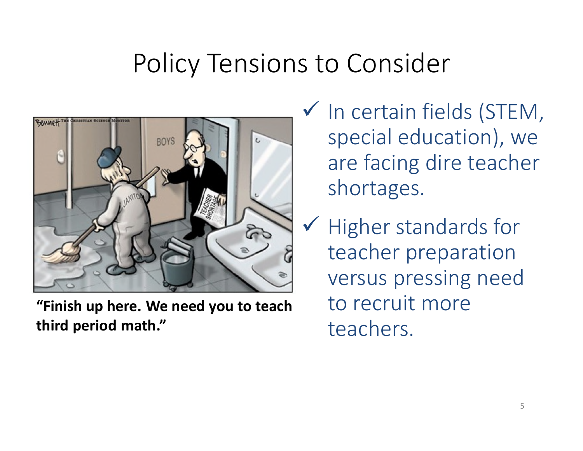#### Policy Tensions to Consider



**"Finish up here. We need you to teach third period math."**

 $\checkmark$  In certain fields (STEM, special education), we are facing dire teacher shortages.

 $\checkmark$  Higher standards for teacher preparation versus pressing need to recruit more teachers.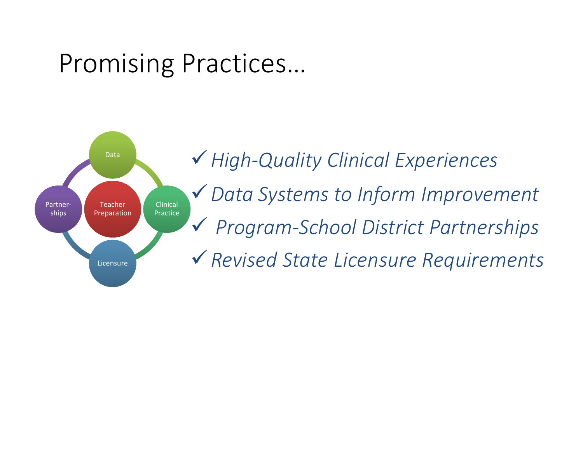#### Promising Practices…

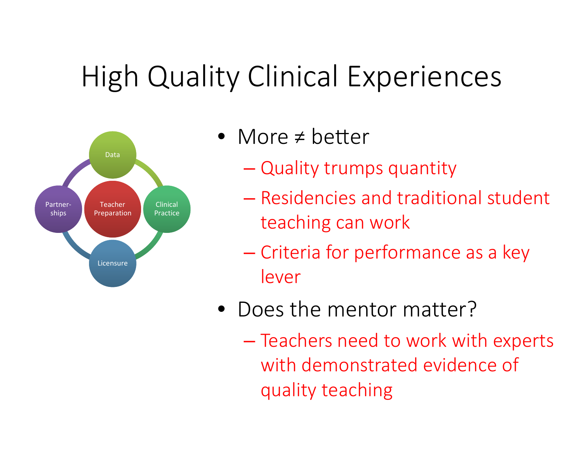## High Quality Clinical Experiences



- More  $\neq$  better
	- Quality trumps quantity
	- Residencies and traditional student teaching can work
	- Criteria for performance as a key lever
- Does the mentor matter?
	- Teachers need to work with experts with demonstrated evidence of quality teaching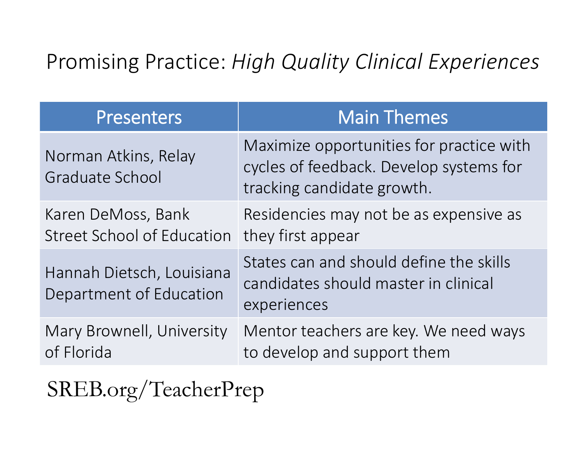#### Promising Practice: *High Quality Clinical Experiences*

| <b>Presenters</b>                                       | <b>Main Themes</b>                                                                                                |
|---------------------------------------------------------|-------------------------------------------------------------------------------------------------------------------|
| Norman Atkins, Relay<br>Graduate School                 | Maximize opportunities for practice with<br>cycles of feedback. Develop systems for<br>tracking candidate growth. |
| Karen DeMoss, Bank<br><b>Street School of Education</b> | Residencies may not be as expensive as<br>they first appear                                                       |
| Hannah Dietsch, Louisiana<br>Department of Education    | States can and should define the skills<br>candidates should master in clinical<br>experiences                    |
| Mary Brownell, University<br>of Florida                 | Mentor teachers are key. We need ways<br>to develop and support them                                              |

SREB.org/TeacherPrep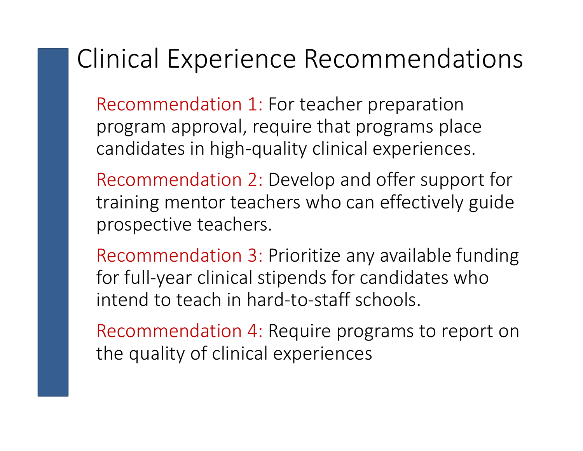#### Clinical Experience Recommendations

Recommendation 1: For teacher preparation program approval, require that programs place candidates in high-quality clinical experiences.

Recommendation 2: Develop and offer support for training mentor teachers who can effectively guide prospective teachers.

Recommendation 3: Prioritize any available funding for full-year clinical stipends for candidates who intend to teach in hard-to-staff schools.

Recommendation 4: Require programs to report on the quality of clinical experiences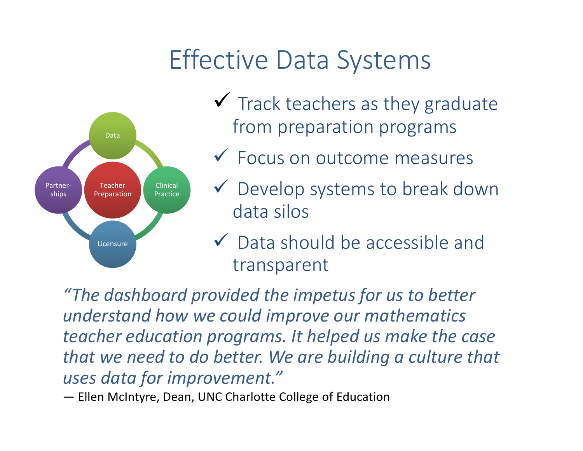### Effective Data Systems



- $\checkmark$  Track teachers as they graduate from preparation programs
- Focus on outcome measures
- Develop systems to break down data silos
- Data should be accessible and transparent

*"The dashboard provided the impetus for us to better understand how we could improve our mathematics teacher education programs. It helped us make the case that we need to do better. We are building a culture that uses data for improvement."*

— Ellen McIntyre, Dean, UNC Charlotte College of Education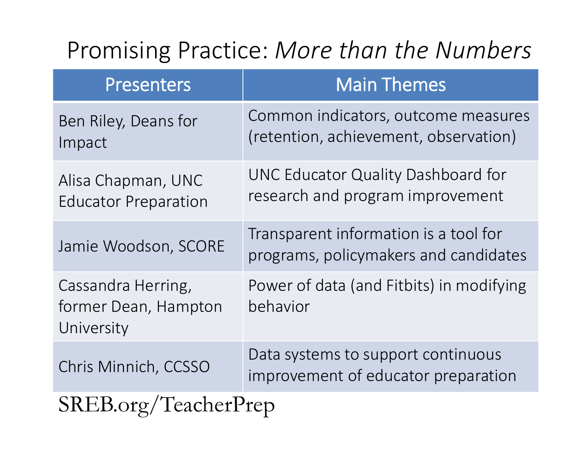#### Promising Practice: *More than the Numbers*

| <b>Presenters</b>                                        | <b>Main Themes</b>                                                             |  |
|----------------------------------------------------------|--------------------------------------------------------------------------------|--|
| Ben Riley, Deans for<br>Impact                           | Common indicators, outcome measures<br>(retention, achievement, observation)   |  |
| Alisa Chapman, UNC<br><b>Educator Preparation</b>        | UNC Educator Quality Dashboard for<br>research and program improvement         |  |
| Jamie Woodson, SCORE                                     | Transparent information is a tool for<br>programs, policymakers and candidates |  |
| Cassandra Herring,<br>former Dean, Hampton<br>University | Power of data (and Fitbits) in modifying<br>behavior                           |  |
| Chris Minnich, CCSSO                                     | Data systems to support continuous<br>improvement of educator preparation      |  |
| SREB.org/TeacherPrep                                     |                                                                                |  |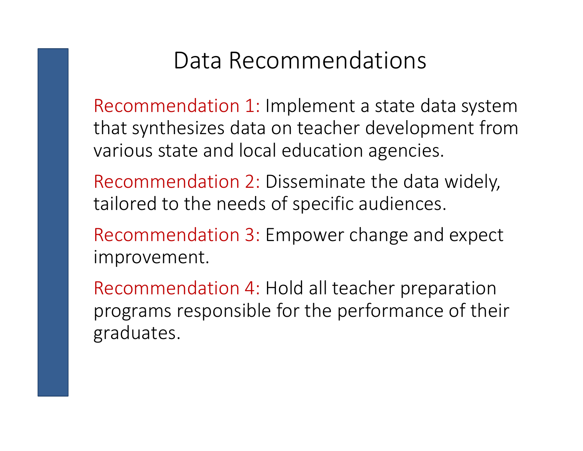#### Data Recommendations

Recommendation 1: Implement a state data system that synthesizes data on teacher development from various state and local education agencies.

Recommendation 2: Disseminate the data widely, tailored to the needs of specific audiences.

Recommendation 3: Empower change and expect improvement.

Recommendation 4: Hold all teacher preparation programs responsible for the performance of their graduates.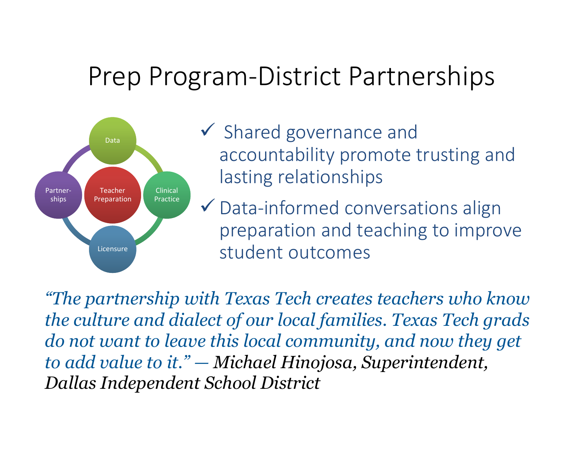#### Prep Program-District Partnerships



- $\checkmark$  Shared governance and accountability promote trusting and lasting relationships
- $\checkmark$  Data-informed conversations align preparation and teaching to improve student outcomes

*"The partnership with Texas Tech creates teachers who know the culture and dialect of our local families. Texas Tech grads do not want to leave this local community, and now they get to add value to it." — Michael Hinojosa, Superintendent, Dallas Independent School District*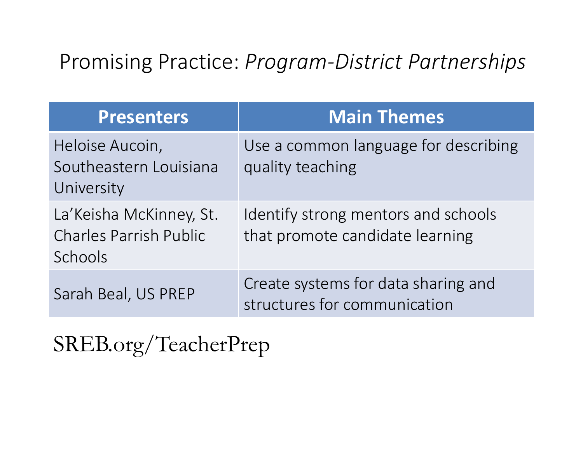#### Promising Practice: *Program-District Partnerships*

| <b>Presenters</b>                                                   | <b>Main Themes</b>                                                     |
|---------------------------------------------------------------------|------------------------------------------------------------------------|
| Heloise Aucoin,<br>Southeastern Louisiana<br>University             | Use a common language for describing<br>quality teaching               |
| La'Keisha McKinney, St.<br><b>Charles Parrish Public</b><br>Schools | Identify strong mentors and schools<br>that promote candidate learning |
| Sarah Beal, US PREP                                                 | Create systems for data sharing and<br>structures for communication    |

SREB.org/TeacherPrep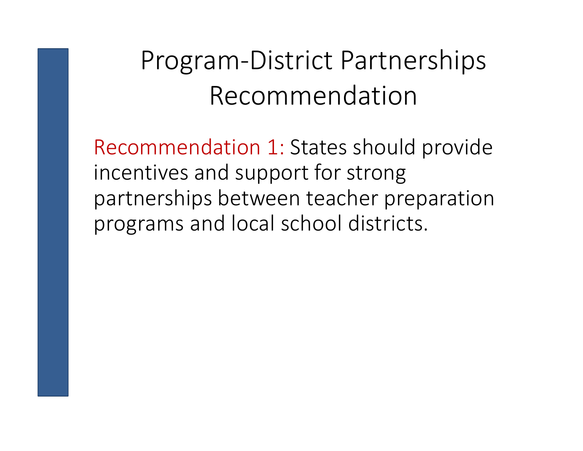## Program-District Partnerships Recommendation

Recommendation 1: States should provide incentives and support for strong partnerships between teacher preparation programs and local school districts.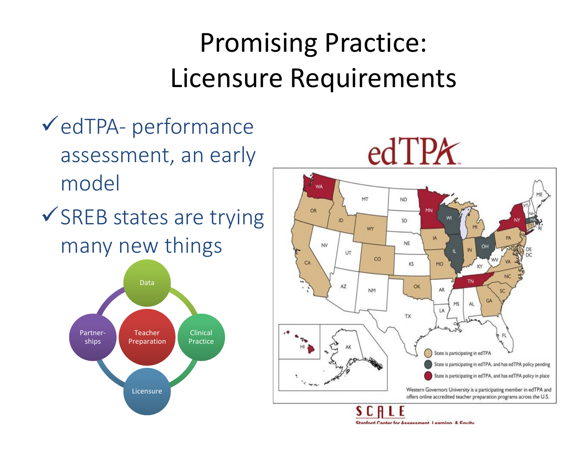## Promising Practice: Licensure Requirements

- edTPA- performance assessment, an early model
- $\checkmark$  SREB states are trying many new things



# $edTPX$



Stanford Contar for Accordment Loarning & Equity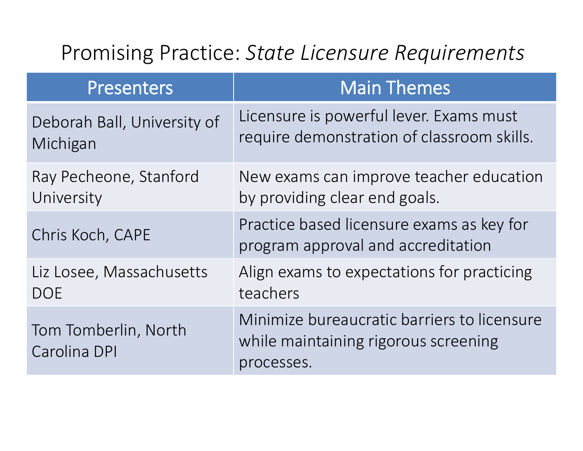#### Promising Practice: *State Licensure Requirements*

| <b>Presenters</b>                    | <b>Main Themes</b>                                                                                |
|--------------------------------------|---------------------------------------------------------------------------------------------------|
| Deborah Ball, University of          | Licensure is powerful lever. Exams must                                                           |
| Michigan                             | require demonstration of classroom skills.                                                        |
| Ray Pecheone, Stanford               | New exams can improve teacher education                                                           |
| University                           | by providing clear end goals.                                                                     |
| Chris Koch, CAPE                     | Practice based licensure exams as key for<br>program approval and accreditation                   |
| Liz Losee, Massachusetts             | Align exams to expectations for practicing                                                        |
| <b>DOE</b>                           | teachers                                                                                          |
| Tom Tomberlin, North<br>Carolina DPI | Minimize bureaucratic barriers to licensure<br>while maintaining rigorous screening<br>processes. |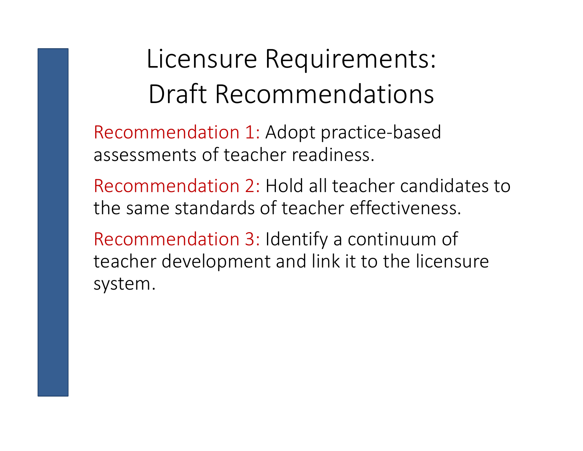## Licensure Requirements: Draft Recommendations

Recommendation 1: Adopt practice-based assessments of teacher readiness.

Recommendation 2: Hold all teacher candidates to the same standards of teacher effectiveness.

Recommendation 3: Identify a continuum of teacher development and link it to the licensure system.